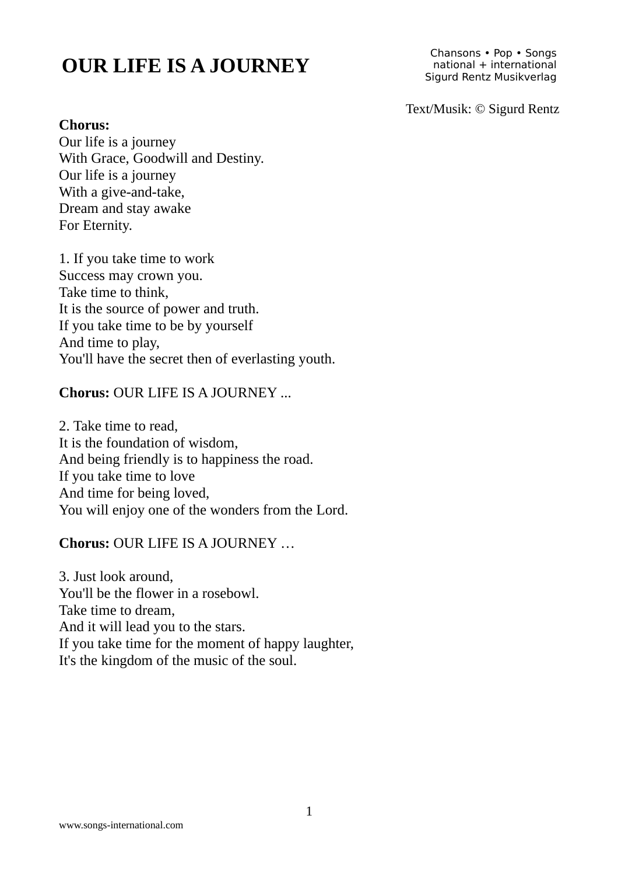# **OUR LIFE IS A JOURNEY**

Chansons • Pop • Songs national + international Sigurd Rentz Musikverlag

Text/Musik: © Sigurd Rentz

### **Chorus:**

Our life is a journey With Grace, Goodwill and Destiny. Our life is a journey With a give-and-take, Dream and stay awake For Eternity.

1. If you take time to work Success may crown you. Take time to think, It is the source of power and truth. If you take time to be by yourself And time to play, You'll have the secret then of everlasting youth.

# **Chorus:** OUR LIFE IS A JOURNEY ...

2. Take time to read, It is the foundation of wisdom, And being friendly is to happiness the road. If you take time to love And time for being loved, You will enjoy one of the wonders from the Lord.

### **Chorus:** OUR LIFE IS A JOURNEY …

3. Just look around, You'll be the flower in a rosebowl. Take time to dream, And it will lead you to the stars. If you take time for the moment of happy laughter, It's the kingdom of the music of the soul.